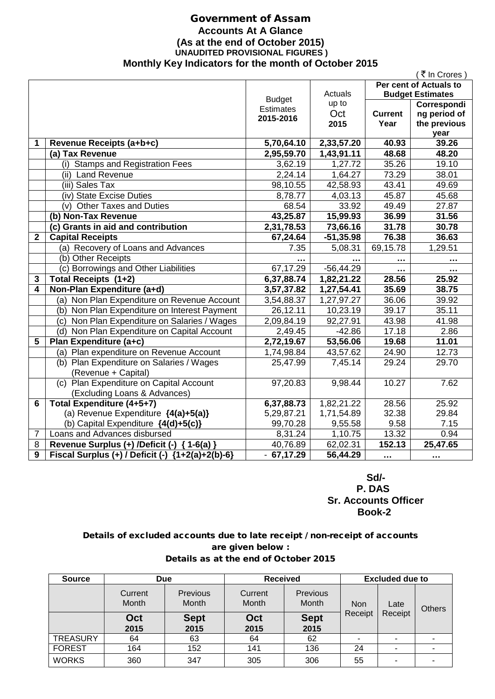## Government of Assam **Accounts At A Glance (As at the end of October 2015) UNAUDITED PROVISIONAL FIGURES ) Monthly Key Indicators for the month of October 2015**

|                |                                                    |                  |              |                | ( ₹ In Crores )         |
|----------------|----------------------------------------------------|------------------|--------------|----------------|-------------------------|
|                |                                                    |                  |              |                | Per cent of Actuals to  |
|                |                                                    | <b>Budget</b>    | Actuals      |                | <b>Budget Estimates</b> |
|                |                                                    | <b>Estimates</b> | up to        |                | Correspondi             |
|                |                                                    | 2015-2016        | Oct          | <b>Current</b> | ng period of            |
|                |                                                    |                  | 2015         | Year           | the previous            |
|                |                                                    |                  |              |                | year                    |
| 1              | Revenue Receipts (a+b+c)                           | 5,70,64.10       | 2,33,57.20   | 40.93          | 39.26                   |
|                | (a) Tax Revenue                                    | 2,95,59.70       | 1,43,91.11   | 48.68          | 48.20                   |
|                | (i) Stamps and Registration Fees                   | 3,62.19          | 1,27.72      | 35.26          | 19.10                   |
|                | (ii) Land Revenue                                  | 2,24.14          | 1,64.27      | 73.29          | 38.01                   |
|                | (iii) Sales Tax                                    | 98,10.55         | 42,58.93     | 43.41          | 49.69                   |
|                | (iv) State Excise Duties                           | 8,78.77          | 4,03.13      | 45.87          | 45.68                   |
|                | (v) Other Taxes and Duties                         | 68.54            | 33.92        | 49.49          | 27.87                   |
|                | (b) Non-Tax Revenue                                | 43,25.87         | 15,99.93     | 36.99          | 31.56                   |
|                | (c) Grants in aid and contribution                 | 2,31,78.53       | 73,66.16     | 31.78          | 30.78                   |
| $\overline{2}$ | <b>Capital Receipts</b>                            | 67,24.64         | $-51,35.98$  | 76.38          | 36.63                   |
|                | (a) Recovery of Loans and Advances                 | 7.35             | 5,08.31      | 69,15.78       | 1,29.51                 |
|                | (b) Other Receipts                                 |                  |              |                |                         |
|                | (c) Borrowings and Other Liabilities               | 67,17.29         | $-56, 44.29$ |                |                         |
| 3              | Total Receipts (1+2)                               | 6,37,88.74       | 1,82,21.22   | 28.56          | 25.92                   |
| 4              | Non-Plan Expenditure (a+d)                         | 3,57,37.82       | 1,27,54.41   | 35.69          | 38.75                   |
|                | (a) Non Plan Expenditure on Revenue Account        | 3,54,88.37       | 1,27,97.27   | 36.06          | 39.92                   |
|                | (b) Non Plan Expenditure on Interest Payment       | 26,12.11         | 10,23.19     | 39.17          | 35.11                   |
|                | (c) Non Plan Expenditure on Salaries / Wages       | 2,09,84.19       | 92,27.91     | 43.98          | 41.98                   |
|                | (d) Non Plan Expenditure on Capital Account        | 2,49.45          | $-42.86$     | 17.18          | 2.86                    |
| 5              | Plan Expenditure (a+c)                             | 2,72,19.67       | 53,56.06     | 19.68          | 11.01                   |
|                | (a) Plan expenditure on Revenue Account            | 1,74,98.84       | 43,57.62     | 24.90          | 12.73                   |
|                | (b) Plan Expenditure on Salaries / Wages           | 25,47.99         | 7,45.14      | 29.24          | 29.70                   |
|                | (Revenue + Capital)                                |                  |              |                |                         |
|                | (c) Plan Expenditure on Capital Account            | 97,20.83         | 9,98.44      | 10.27          | 7.62                    |
|                | (Excluding Loans & Advances)                       |                  |              |                |                         |
| 6              | Total Expenditure (4+5+7)                          | 6,37,88.73       | 1,82,21.22   | 28.56          | 25.92                   |
|                | (a) Revenue Expenditure {4(a)+5(a)}                | 5,29,87.21       | 1,71,54.89   | 32.38          | 29.84                   |
|                | (b) Capital Expenditure {4(d)+5(c)}                | 99,70.28         | 9,55.58      | 9.58           | 7.15                    |
| 7              | Loans and Advances disbursed                       | 8,31.24          | 1,10.75      | 13.32          | 0.94                    |
| 8              | Revenue Surplus (+) /Deficit (-) { 1-6(a) }        | 40,76.89         | 62,02.31     | 152.13         | 25,47.65                |
| 9              | Fiscal Surplus (+) / Deficit (-) ${1+2(a)+2(b)-6}$ | $-67,17.29$      | 56,44.29     | $\ddotsc$      | $\cdots$                |

 **Sd/- P. DAS Sr. Accounts Officer Book-2**

## Details of excluded accounts due to late receipt / non-receipt of accounts are given below : Details as at the end of October 2015

| <b>Source</b>   | <b>Due</b>       |                     | <b>Received</b>  |                          | <b>Excluded due to</b> |         |  |  |  |  |  |      |               |
|-----------------|------------------|---------------------|------------------|--------------------------|------------------------|---------|--|--|--|--|--|------|---------------|
|                 | Current<br>Month | Previous<br>Month   | Current<br>Month | <b>Previous</b><br>Month | <b>Non</b><br>Receipt  |         |  |  |  |  |  | Late | <b>Others</b> |
|                 | Oct<br>2015      | <b>Sept</b><br>2015 | Oct<br>2015      | <b>Sept</b><br>2015      |                        | Receipt |  |  |  |  |  |      |               |
| <b>TREASURY</b> | 64               | 63                  | 64               | 62                       |                        | ٠       |  |  |  |  |  |      |               |
| <b>FOREST</b>   | 164              | 152                 | 141              | 136                      | 24                     | ۰       |  |  |  |  |  |      |               |
| <b>WORKS</b>    | 360              | 347                 | 305              | 306                      | 55                     | ۰       |  |  |  |  |  |      |               |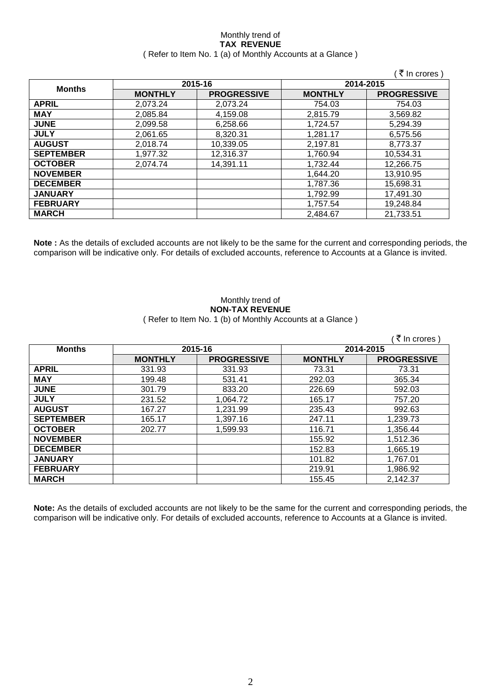### Monthly trend of **TAX REVENUE** ( Refer to Item No. 1 (a) of Monthly Accounts at a Glance )

|                  |                |                    |                | ′ ₹ In crores )    |
|------------------|----------------|--------------------|----------------|--------------------|
|                  |                | 2015-16            |                | 2014-2015          |
| <b>Months</b>    | <b>MONTHLY</b> | <b>PROGRESSIVE</b> | <b>MONTHLY</b> | <b>PROGRESSIVE</b> |
| <b>APRIL</b>     | 2.073.24       | 2,073.24           | 754.03         | 754.03             |
| <b>MAY</b>       | 2,085.84       | 4,159.08           | 2,815.79       | 3,569.82           |
| <b>JUNE</b>      | 2,099.58       | 6,258.66           | 1,724.57       | 5,294.39           |
| <b>JULY</b>      | 2,061.65       | 8,320.31           | 1,281.17       | 6,575.56           |
| <b>AUGUST</b>    | 2,018.74       | 10,339.05          | 2,197.81       | 8,773.37           |
| <b>SEPTEMBER</b> | 1,977.32       | 12,316.37          | 1,760.94       | 10,534.31          |
| <b>OCTOBER</b>   | 2,074.74       | 14,391.11          | 1,732.44       | 12,266.75          |
| <b>NOVEMBER</b>  |                |                    | 1,644.20       | 13,910.95          |
| <b>DECEMBER</b>  |                |                    | 1,787.36       | 15,698.31          |
| <b>JANUARY</b>   |                |                    | 1,792.99       | 17,491.30          |
| <b>FEBRUARY</b>  |                |                    | 1,757.54       | 19,248.84          |
| <b>MARCH</b>     |                |                    | 2.484.67       | 21,733.51          |

**Note :** As the details of excluded accounts are not likely to be the same for the current and corresponding periods, the comparison will be indicative only. For details of excluded accounts, reference to Accounts at a Glance is invited.

### Monthly trend of **NON-TAX REVENUE** ( Refer to Item No. 1 (b) of Monthly Accounts at a Glance )

|                  |                |                    |                | ₹ In crores)       |
|------------------|----------------|--------------------|----------------|--------------------|
| <b>Months</b>    | 2015-16        |                    | 2014-2015      |                    |
|                  | <b>MONTHLY</b> | <b>PROGRESSIVE</b> | <b>MONTHLY</b> | <b>PROGRESSIVE</b> |
| <b>APRIL</b>     | 331.93         | 331.93             | 73.31          | 73.31              |
| <b>MAY</b>       | 199.48         | 531.41             | 292.03         | 365.34             |
| <b>JUNE</b>      | 301.79         | 833.20             | 226.69         | 592.03             |
| <b>JULY</b>      | 231.52         | 1,064.72           | 165.17         | 757.20             |
| <b>AUGUST</b>    | 167.27         | 1,231.99           | 235.43         | 992.63             |
| <b>SEPTEMBER</b> | 165.17         | 1,397.16           | 247.11         | 1,239.73           |
| <b>OCTOBER</b>   | 202.77         | 1,599.93           | 116.71         | 1,356.44           |
| <b>NOVEMBER</b>  |                |                    | 155.92         | 1,512.36           |
| <b>DECEMBER</b>  |                |                    | 152.83         | 1,665.19           |
| <b>JANUARY</b>   |                |                    | 101.82         | 1,767.01           |
| <b>FEBRUARY</b>  |                |                    | 219.91         | 1,986.92           |
| <b>MARCH</b>     |                |                    | 155.45         | 2,142.37           |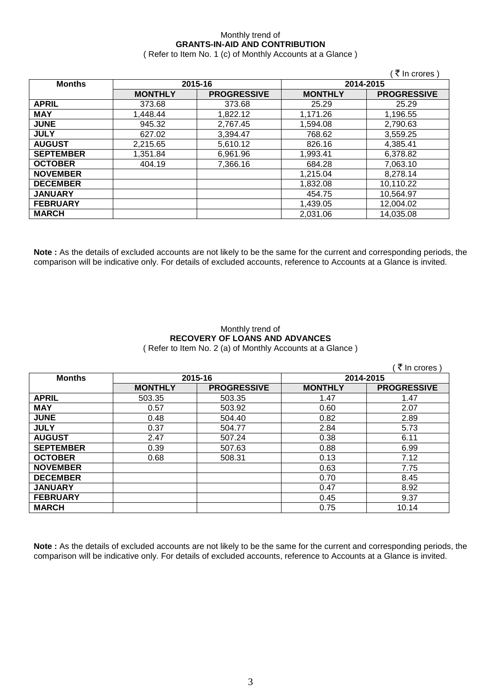## Monthly trend of **GRANTS-IN-AID AND CONTRIBUTION**

( Refer to Item No. 1 (c) of Monthly Accounts at a Glance )

|                  |                |                    |                | (₹ In crores)      |
|------------------|----------------|--------------------|----------------|--------------------|
| <b>Months</b>    |                | 2015-16            | 2014-2015      |                    |
|                  | <b>MONTHLY</b> | <b>PROGRESSIVE</b> | <b>MONTHLY</b> | <b>PROGRESSIVE</b> |
| <b>APRIL</b>     | 373.68         | 373.68             | 25.29          | 25.29              |
| <b>MAY</b>       | 1,448.44       | 1,822.12           | 1,171.26       | 1,196.55           |
| <b>JUNE</b>      | 945.32         | 2,767.45           | 1,594.08       | 2,790.63           |
| <b>JULY</b>      | 627.02         | 3,394.47           | 768.62         | 3,559.25           |
| <b>AUGUST</b>    | 2,215.65       | 5,610.12           | 826.16         | 4,385.41           |
| <b>SEPTEMBER</b> | 1,351.84       | 6,961.96           | 1,993.41       | 6,378.82           |
| <b>OCTOBER</b>   | 404.19         | 7,366.16           | 684.28         | 7,063.10           |
| <b>NOVEMBER</b>  |                |                    | 1,215.04       | 8,278.14           |
| <b>DECEMBER</b>  |                |                    | 1,832.08       | 10,110.22          |
| <b>JANUARY</b>   |                |                    | 454.75         | 10,564.97          |
| <b>FEBRUARY</b>  |                |                    | 1,439.05       | 12,004.02          |
| <b>MARCH</b>     |                |                    | 2,031.06       | 14,035.08          |

**Note :** As the details of excluded accounts are not likely to be the same for the current and corresponding periods, the comparison will be indicative only. For details of excluded accounts, reference to Accounts at a Glance is invited.

### Monthly trend of **RECOVERY OF LOANS AND ADVANCES** ( Refer to Item No. 2 (a) of Monthly Accounts at a Glance )

|                  |                |                    |                | ₹ In crores        |
|------------------|----------------|--------------------|----------------|--------------------|
| <b>Months</b>    | 2015-16        |                    | 2014-2015      |                    |
|                  | <b>MONTHLY</b> | <b>PROGRESSIVE</b> | <b>MONTHLY</b> | <b>PROGRESSIVE</b> |
| <b>APRIL</b>     | 503.35         | 503.35             | 1.47           | 1.47               |
| <b>MAY</b>       | 0.57           | 503.92             | 0.60           | 2.07               |
| <b>JUNE</b>      | 0.48           | 504.40             | 0.82           | 2.89               |
| <b>JULY</b>      | 0.37           | 504.77             | 2.84           | 5.73               |
| <b>AUGUST</b>    | 2.47           | 507.24             | 0.38           | 6.11               |
| <b>SEPTEMBER</b> | 0.39           | 507.63             | 0.88           | 6.99               |
| <b>OCTOBER</b>   | 0.68           | 508.31             | 0.13           | 7.12               |
| <b>NOVEMBER</b>  |                |                    | 0.63           | 7.75               |
| <b>DECEMBER</b>  |                |                    | 0.70           | 8.45               |
| <b>JANUARY</b>   |                |                    | 0.47           | 8.92               |
| <b>FEBRUARY</b>  |                |                    | 0.45           | 9.37               |
| <b>MARCH</b>     |                |                    | 0.75           | 10.14              |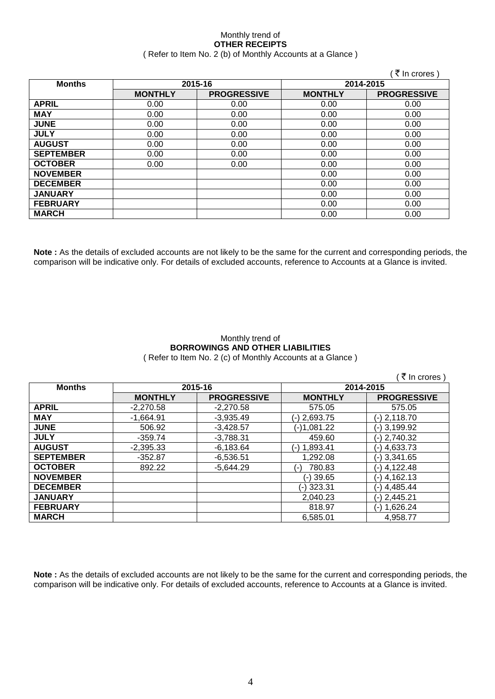### Monthly trend of **OTHER RECEIPTS** ( Refer to Item No. 2 (b) of Monthly Accounts at a Glance )

|                  |                |                    |                | ₹ In crores)       |
|------------------|----------------|--------------------|----------------|--------------------|
| <b>Months</b>    |                | 2015-16            | 2014-2015      |                    |
|                  | <b>MONTHLY</b> | <b>PROGRESSIVE</b> | <b>MONTHLY</b> | <b>PROGRESSIVE</b> |
| <b>APRIL</b>     | 0.00           | 0.00               | 0.00           | 0.00               |
| <b>MAY</b>       | 0.00           | 0.00               | 0.00           | 0.00               |
| <b>JUNE</b>      | 0.00           | 0.00               | 0.00           | 0.00               |
| <b>JULY</b>      | 0.00           | 0.00               | 0.00           | 0.00               |
| <b>AUGUST</b>    | 0.00           | 0.00               | 0.00           | 0.00               |
| <b>SEPTEMBER</b> | 0.00           | 0.00               | 0.00           | 0.00               |
| <b>OCTOBER</b>   | 0.00           | 0.00               | 0.00           | 0.00               |
| <b>NOVEMBER</b>  |                |                    | 0.00           | 0.00               |
| <b>DECEMBER</b>  |                |                    | 0.00           | 0.00               |
| <b>JANUARY</b>   |                |                    | 0.00           | 0.00               |
| <b>FEBRUARY</b>  |                |                    | 0.00           | 0.00               |
| <b>MARCH</b>     |                |                    | 0.00           | 0.00               |

**Note :** As the details of excluded accounts are not likely to be the same for the current and corresponding periods, the comparison will be indicative only. For details of excluded accounts, reference to Accounts at a Glance is invited.

### Monthly trend of **BORROWINGS AND OTHER LIABILITIES** ( Refer to Item No. 2 (c) of Monthly Accounts at a Glance )

|                  |                |                    |                 | ∶ ₹ In crores )    |
|------------------|----------------|--------------------|-----------------|--------------------|
| <b>Months</b>    | 2015-16        |                    |                 | 2014-2015          |
|                  | <b>MONTHLY</b> | <b>PROGRESSIVE</b> | <b>MONTHLY</b>  | <b>PROGRESSIVE</b> |
| <b>APRIL</b>     | $-2,270.58$    | $-2,270.58$        | 575.05          | 575.05             |
| <b>MAY</b>       | $-1,664.91$    | $-3,935.49$        | (-) 2,693.75    | (-) 2,118.70       |
| <b>JUNE</b>      | 506.92         | $-3,428.57$        | (-)1,081.22     | (-) 3,199.92       |
| <b>JULY</b>      | $-359.74$      | $-3,788.31$        | 459.60          | $(-) 2,740.32$     |
| <b>AUGUST</b>    | $-2,395.33$    | $-6,183.64$        | (-) 1,893.41    | (-) 4,633.73       |
| <b>SEPTEMBER</b> | $-352.87$      | $-6,536.51$        | 1,292.08        | $(-)$ 3,341.65     |
| <b>OCTOBER</b>   | 892.22         | $-5,644.29$        | 780.83<br>( – ) | (-) 4,122.48       |
| <b>NOVEMBER</b>  |                |                    | (-) 39.65       | (-) 4,162.13       |
| <b>DECEMBER</b>  |                |                    | (-) 323.31      | (-) 4,485.44       |
| <b>JANUARY</b>   |                |                    | 2,040.23        | (-) 2,445.21       |
| <b>FEBRUARY</b>  |                |                    | 818.97          | (-) 1,626.24       |
| <b>MARCH</b>     |                |                    | 6.585.01        | 4,958.77           |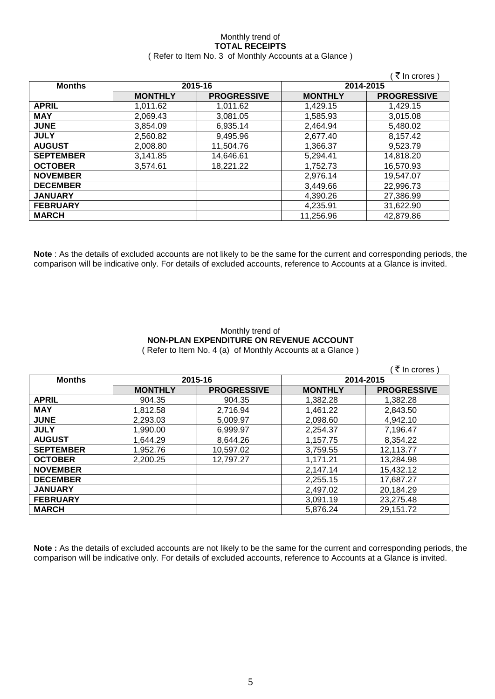### Monthly trend of **TOTAL RECEIPTS** ( Refer to Item No. 3 of Monthly Accounts at a Glance )

|                  |                |                    |                | ₹ In crores)       |
|------------------|----------------|--------------------|----------------|--------------------|
| <b>Months</b>    |                | 2015-16            | 2014-2015      |                    |
|                  | <b>MONTHLY</b> | <b>PROGRESSIVE</b> | <b>MONTHLY</b> | <b>PROGRESSIVE</b> |
| <b>APRIL</b>     | 1.011.62       | 1.011.62           | 1,429.15       | 1.429.15           |
| <b>MAY</b>       | 2,069.43       | 3,081.05           | 1,585.93       | 3,015.08           |
| <b>JUNE</b>      | 3.854.09       | 6,935.14           | 2,464.94       | 5,480.02           |
| <b>JULY</b>      | 2,560.82       | 9,495.96           | 2,677.40       | 8,157.42           |
| <b>AUGUST</b>    | 2,008.80       | 11,504.76          | 1,366.37       | 9,523.79           |
| <b>SEPTEMBER</b> | 3,141.85       | 14,646.61          | 5,294.41       | 14,818.20          |
| <b>OCTOBER</b>   | 3,574.61       | 18,221.22          | 1,752.73       | 16,570.93          |
| <b>NOVEMBER</b>  |                |                    | 2,976.14       | 19,547.07          |
| <b>DECEMBER</b>  |                |                    | 3,449.66       | 22,996.73          |
| <b>JANUARY</b>   |                |                    | 4,390.26       | 27,386.99          |
| <b>FEBRUARY</b>  |                |                    | 4,235.91       | 31,622.90          |
| <b>MARCH</b>     |                |                    | 11,256.96      | 42,879.86          |

**Note** : As the details of excluded accounts are not likely to be the same for the current and corresponding periods, the comparison will be indicative only. For details of excluded accounts, reference to Accounts at a Glance is invited.

### Monthly trend of **NON-PLAN EXPENDITURE ON REVENUE ACCOUNT** ( Refer to Item No. 4 (a) of Monthly Accounts at a Glance )

|                  |                |                    |                | ₹ In crores        |
|------------------|----------------|--------------------|----------------|--------------------|
| <b>Months</b>    |                | 2015-16            |                | 2014-2015          |
|                  | <b>MONTHLY</b> | <b>PROGRESSIVE</b> | <b>MONTHLY</b> | <b>PROGRESSIVE</b> |
| <b>APRIL</b>     | 904.35         | 904.35             | 1,382.28       | 1,382.28           |
| <b>MAY</b>       | 1,812.58       | 2,716.94           | 1,461.22       | 2,843.50           |
| <b>JUNE</b>      | 2.293.03       | 5.009.97           | 2,098.60       | 4,942.10           |
| <b>JULY</b>      | 1.990.00       | 6.999.97           | 2,254.37       | 7,196.47           |
| <b>AUGUST</b>    | 1.644.29       | 8,644.26           | 1,157.75       | 8,354.22           |
| <b>SEPTEMBER</b> | 1,952.76       | 10,597.02          | 3,759.55       | 12,113.77          |
| <b>OCTOBER</b>   | 2,200.25       | 12,797.27          | 1,171.21       | 13,284.98          |
| <b>NOVEMBER</b>  |                |                    | 2,147.14       | 15,432.12          |
| <b>DECEMBER</b>  |                |                    | 2,255.15       | 17,687.27          |
| <b>JANUARY</b>   |                |                    | 2,497.02       | 20,184.29          |
| <b>FEBRUARY</b>  |                |                    | 3,091.19       | 23,275.48          |
| <b>MARCH</b>     |                |                    | 5,876.24       | 29,151.72          |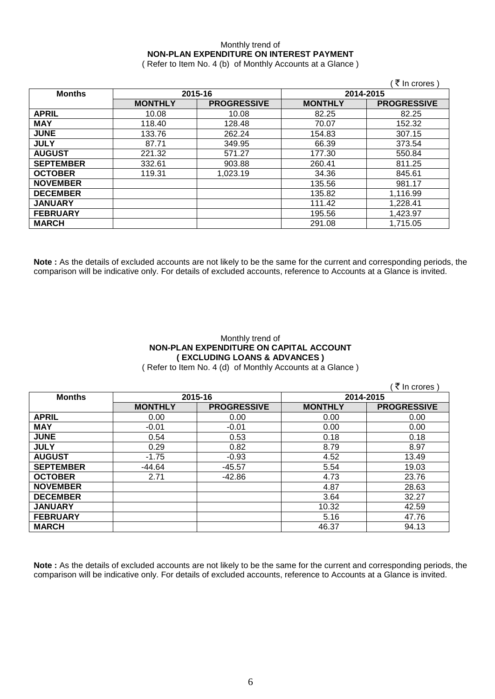# Monthly trend of **NON-PLAN EXPENDITURE ON INTEREST PAYMENT**

( Refer to Item No. 4 (b) of Monthly Accounts at a Glance )

|                  |                |                    |                | ्₹ In crores )     |
|------------------|----------------|--------------------|----------------|--------------------|
| <b>Months</b>    | 2015-16        |                    | 2014-2015      |                    |
|                  | <b>MONTHLY</b> | <b>PROGRESSIVE</b> | <b>MONTHLY</b> | <b>PROGRESSIVE</b> |
| <b>APRIL</b>     | 10.08          | 10.08              | 82.25          | 82.25              |
| <b>MAY</b>       | 118.40         | 128.48             | 70.07          | 152.32             |
| <b>JUNE</b>      | 133.76         | 262.24             | 154.83         | 307.15             |
| <b>JULY</b>      | 87.71          | 349.95             | 66.39          | 373.54             |
| <b>AUGUST</b>    | 221.32         | 571.27             | 177.30         | 550.84             |
| <b>SEPTEMBER</b> | 332.61         | 903.88             | 260.41         | 811.25             |
| <b>OCTOBER</b>   | 119.31         | 1,023.19           | 34.36          | 845.61             |
| <b>NOVEMBER</b>  |                |                    | 135.56         | 981.17             |
| <b>DECEMBER</b>  |                |                    | 135.82         | 1,116.99           |
| <b>JANUARY</b>   |                |                    | 111.42         | 1,228.41           |
| <b>FEBRUARY</b>  |                |                    | 195.56         | 1,423.97           |
| <b>MARCH</b>     |                |                    | 291.08         | 1,715.05           |

**Note :** As the details of excluded accounts are not likely to be the same for the current and corresponding periods, the comparison will be indicative only. For details of excluded accounts, reference to Accounts at a Glance is invited.

## Monthly trend of **NON-PLAN EXPENDITURE ON CAPITAL ACCOUNT ( EXCLUDING LOANS & ADVANCES )**

( Refer to Item No. 4 (d) of Monthly Accounts at a Glance )

 $($   $\bar{z}$  In crores )

| <b>Months</b>    | 2015-16        |                    | 2014-2015      |                    |
|------------------|----------------|--------------------|----------------|--------------------|
|                  | <b>MONTHLY</b> | <b>PROGRESSIVE</b> | <b>MONTHLY</b> | <b>PROGRESSIVE</b> |
| <b>APRIL</b>     | 0.00           | 0.00               | 0.00           | 0.00               |
| <b>MAY</b>       | $-0.01$        | $-0.01$            | 0.00           | 0.00               |
| <b>JUNE</b>      | 0.54           | 0.53               | 0.18           | 0.18               |
| <b>JULY</b>      | 0.29           | 0.82               | 8.79           | 8.97               |
| <b>AUGUST</b>    | $-1.75$        | $-0.93$            | 4.52           | 13.49              |
| <b>SEPTEMBER</b> | $-44.64$       | $-45.57$           | 5.54           | 19.03              |
| <b>OCTOBER</b>   | 2.71           | $-42.86$           | 4.73           | 23.76              |
| <b>NOVEMBER</b>  |                |                    | 4.87           | 28.63              |
| <b>DECEMBER</b>  |                |                    | 3.64           | 32.27              |
| <b>JANUARY</b>   |                |                    | 10.32          | 42.59              |
| <b>FEBRUARY</b>  |                |                    | 5.16           | 47.76              |
| <b>MARCH</b>     |                |                    | 46.37          | 94.13              |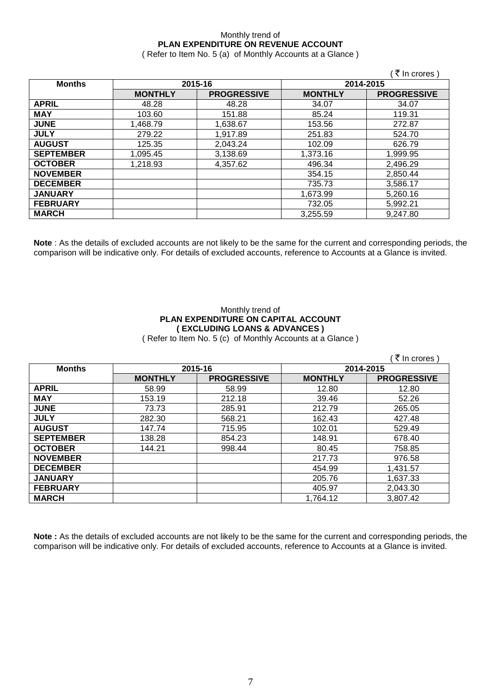## Monthly trend of **PLAN EXPENDITURE ON REVENUE ACCOUNT**

( Refer to Item No. 5 (a) of Monthly Accounts at a Glance )

|                  |                |                    |                | (₹ In crores)      |
|------------------|----------------|--------------------|----------------|--------------------|
| <b>Months</b>    | 2015-16        |                    | 2014-2015      |                    |
|                  | <b>MONTHLY</b> | <b>PROGRESSIVE</b> | <b>MONTHLY</b> | <b>PROGRESSIVE</b> |
| <b>APRIL</b>     | 48.28          | 48.28              | 34.07          | 34.07              |
| <b>MAY</b>       | 103.60         | 151.88             | 85.24          | 119.31             |
| <b>JUNE</b>      | 1,468.79       | 1,638.67           | 153.56         | 272.87             |
| <b>JULY</b>      | 279.22         | 1,917.89           | 251.83         | 524.70             |
| <b>AUGUST</b>    | 125.35         | 2,043.24           | 102.09         | 626.79             |
| <b>SEPTEMBER</b> | 1,095.45       | 3,138.69           | 1,373.16       | 1,999.95           |
| <b>OCTOBER</b>   | 1,218.93       | 4,357.62           | 496.34         | 2,496.29           |
| <b>NOVEMBER</b>  |                |                    | 354.15         | 2,850.44           |
| <b>DECEMBER</b>  |                |                    | 735.73         | 3,586.17           |
| <b>JANUARY</b>   |                |                    | 1,673.99       | 5,260.16           |
| <b>FEBRUARY</b>  |                |                    | 732.05         | 5,992.21           |
| <b>MARCH</b>     |                |                    | 3.255.59       | 9,247.80           |

**Note** : As the details of excluded accounts are not likely to be the same for the current and corresponding periods, the comparison will be indicative only. For details of excluded accounts, reference to Accounts at a Glance is invited.

# Monthly trend of **PLAN EXPENDITURE ON CAPITAL ACCOUNT ( EXCLUDING LOANS & ADVANCES )**

( Refer to Item No. 5 (c) of Monthly Accounts at a Glance )

| <b>Months</b>    | 2015-16        |                    | 2014-2015      |                    |
|------------------|----------------|--------------------|----------------|--------------------|
|                  | <b>MONTHLY</b> | <b>PROGRESSIVE</b> | <b>MONTHLY</b> | <b>PROGRESSIVE</b> |
| <b>APRIL</b>     | 58.99          | 58.99              | 12.80          | 12.80              |
| <b>MAY</b>       | 153.19         | 212.18             | 39.46          | 52.26              |
| <b>JUNE</b>      | 73.73          | 285.91             | 212.79         | 265.05             |
| <b>JULY</b>      | 282.30         | 568.21             | 162.43         | 427.48             |
| <b>AUGUST</b>    | 147.74         | 715.95             | 102.01         | 529.49             |
| <b>SEPTEMBER</b> | 138.28         | 854.23             | 148.91         | 678.40             |
| <b>OCTOBER</b>   | 144.21         | 998.44             | 80.45          | 758.85             |
| <b>NOVEMBER</b>  |                |                    | 217.73         | 976.58             |
| <b>DECEMBER</b>  |                |                    | 454.99         | 1,431.57           |
| <b>JANUARY</b>   |                |                    | 205.76         | 1,637.33           |
| <b>FEBRUARY</b>  |                |                    | 405.97         | 2,043.30           |
| <b>MARCH</b>     |                |                    | 1,764.12       | 3.807.42           |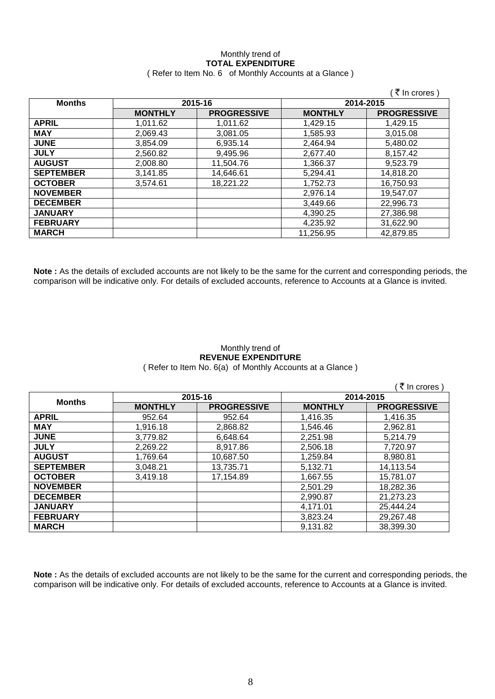### Monthly trend of **TOTAL EXPENDITURE** ( Refer to Item No. 6 of Monthly Accounts at a Glance )

|                  |                |                    |                | ं₹ In crores )     |
|------------------|----------------|--------------------|----------------|--------------------|
| <b>Months</b>    | 2015-16        |                    | 2014-2015      |                    |
|                  | <b>MONTHLY</b> | <b>PROGRESSIVE</b> | <b>MONTHLY</b> | <b>PROGRESSIVE</b> |
| <b>APRIL</b>     | 1.011.62       | 1,011.62           | 1.429.15       | 1.429.15           |
| <b>MAY</b>       | 2,069.43       | 3.081.05           | 1.585.93       | 3.015.08           |
| <b>JUNE</b>      | 3.854.09       | 6.935.14           | 2.464.94       | 5.480.02           |
| <b>JULY</b>      | 2.560.82       | 9,495.96           | 2.677.40       | 8,157.42           |
| <b>AUGUST</b>    | 2.008.80       | 11.504.76          | 1,366.37       | 9.523.79           |
| <b>SEPTEMBER</b> | 3.141.85       | 14.646.61          | 5.294.41       | 14,818.20          |
| <b>OCTOBER</b>   | 3.574.61       | 18,221.22          | 1,752.73       | 16,750.93          |
| <b>NOVEMBER</b>  |                |                    | 2,976.14       | 19.547.07          |
| <b>DECEMBER</b>  |                |                    | 3.449.66       | 22,996.73          |
| <b>JANUARY</b>   |                |                    | 4,390.25       | 27,386.98          |
| <b>FEBRUARY</b>  |                |                    | 4,235.92       | 31,622.90          |
| <b>MARCH</b>     |                |                    | 11.256.95      | 42,879.85          |

**Note :** As the details of excluded accounts are not likely to be the same for the current and corresponding periods, the comparison will be indicative only. For details of excluded accounts, reference to Accounts at a Glance is invited.

### Monthly trend of **REVENUE EXPENDITURE** ( Refer to Item No. 6(a) of Monthly Accounts at a Glance )

 $($   $\overline{\mathfrak{F}}$  In crores )

| <b>Months</b>    | 2015-16        |                    | 2014-2015      |                    |
|------------------|----------------|--------------------|----------------|--------------------|
|                  | <b>MONTHLY</b> | <b>PROGRESSIVE</b> | <b>MONTHLY</b> | <b>PROGRESSIVE</b> |
| <b>APRIL</b>     | 952.64         | 952.64             | 1,416.35       | 1,416.35           |
| <b>MAY</b>       | 1,916.18       | 2,868.82           | 1.546.46       | 2,962.81           |
| <b>JUNE</b>      | 3,779.82       | 6,648.64           | 2,251.98       | 5,214.79           |
| <b>JULY</b>      | 2,269.22       | 8,917.86           | 2,506.18       | 7,720.97           |
| <b>AUGUST</b>    | 1,769.64       | 10,687.50          | 1,259.84       | 8,980.81           |
| <b>SEPTEMBER</b> | 3,048.21       | 13,735.71          | 5,132.71       | 14,113.54          |
| <b>OCTOBER</b>   | 3,419.18       | 17,154.89          | 1,667.55       | 15,781.07          |
| <b>NOVEMBER</b>  |                |                    | 2,501.29       | 18,282.36          |
| <b>DECEMBER</b>  |                |                    | 2,990.87       | 21,273.23          |
| <b>JANUARY</b>   |                |                    | 4,171.01       | 25,444.24          |
| <b>FEBRUARY</b>  |                |                    | 3,823.24       | 29,267.48          |
| <b>MARCH</b>     |                |                    | 9,131.82       | 38,399.30          |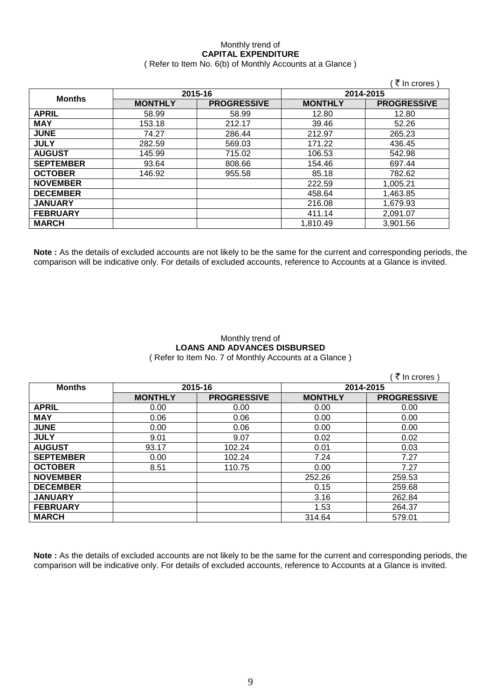### Monthly trend of **CAPITAL EXPENDITURE**  ( Refer to Item No. 6(b) of Monthly Accounts at a Glance )

|                  |                |                    |                | ₹ In crores)       |
|------------------|----------------|--------------------|----------------|--------------------|
| <b>Months</b>    | 2015-16        |                    | 2014-2015      |                    |
|                  | <b>MONTHLY</b> | <b>PROGRESSIVE</b> | <b>MONTHLY</b> | <b>PROGRESSIVE</b> |
| <b>APRIL</b>     | 58.99          | 58.99              | 12.80          | 12.80              |
| <b>MAY</b>       | 153.18         | 212.17             | 39.46          | 52.26              |
| <b>JUNE</b>      | 74.27          | 286.44             | 212.97         | 265.23             |
| <b>JULY</b>      | 282.59         | 569.03             | 171.22         | 436.45             |
| <b>AUGUST</b>    | 145.99         | 715.02             | 106.53         | 542.98             |
| <b>SEPTEMBER</b> | 93.64          | 808.66             | 154.46         | 697.44             |
| <b>OCTOBER</b>   | 146.92         | 955.58             | 85.18          | 782.62             |
| <b>NOVEMBER</b>  |                |                    | 222.59         | 1,005.21           |
| <b>DECEMBER</b>  |                |                    | 458.64         | 1,463.85           |
| <b>JANUARY</b>   |                |                    | 216.08         | 1,679.93           |
| <b>FEBRUARY</b>  |                |                    | 411.14         | 2,091.07           |
| <b>MARCH</b>     |                |                    | 1,810.49       | 3,901.56           |

**Note :** As the details of excluded accounts are not likely to be the same for the current and corresponding periods, the comparison will be indicative only. For details of excluded accounts, reference to Accounts at a Glance is invited.

### Monthly trend of **LOANS AND ADVANCES DISBURSED** ( Refer to Item No. 7 of Monthly Accounts at a Glance )

|                  |                |                    |                | ₹ In crores)       |
|------------------|----------------|--------------------|----------------|--------------------|
| <b>Months</b>    | 2015-16        |                    | 2014-2015      |                    |
|                  | <b>MONTHLY</b> | <b>PROGRESSIVE</b> | <b>MONTHLY</b> | <b>PROGRESSIVE</b> |
| <b>APRIL</b>     | 0.00           | 0.00               | 0.00           | 0.00               |
| <b>MAY</b>       | 0.06           | 0.06               | 0.00           | 0.00               |
| <b>JUNE</b>      | 0.00           | 0.06               | 0.00           | 0.00               |
| <b>JULY</b>      | 9.01           | 9.07               | 0.02           | 0.02               |
| <b>AUGUST</b>    | 93.17          | 102.24             | 0.01           | 0.03               |
| <b>SEPTEMBER</b> | 0.00           | 102.24             | 7.24           | 7.27               |
| <b>OCTOBER</b>   | 8.51           | 110.75             | 0.00           | 7.27               |
| <b>NOVEMBER</b>  |                |                    | 252.26         | 259.53             |
| <b>DECEMBER</b>  |                |                    | 0.15           | 259.68             |
| <b>JANUARY</b>   |                |                    | 3.16           | 262.84             |
| <b>FEBRUARY</b>  |                |                    | 1.53           | 264.37             |
| <b>MARCH</b>     |                |                    | 314.64         | 579.01             |